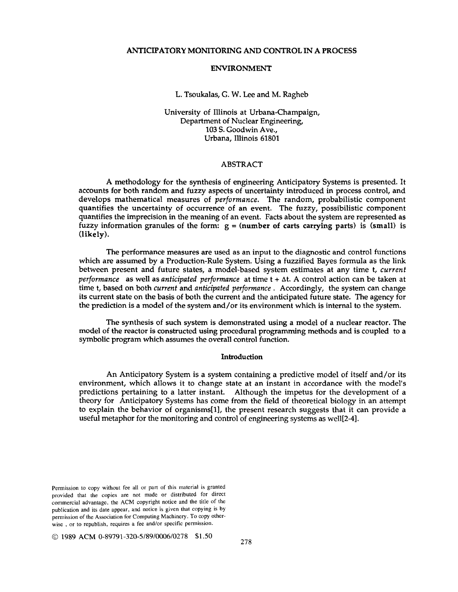# ANTICIPATORY MONITORING AND CONTROL IN A PROCESS

## ENVIRONMENT

### L. Tsoukalas, G. W. Lee and M. Ragheb

University of Illinois at Urbana-Champaign, Department of Nuclear Engineering, 103 S. Goodwin Ave., Urbana, Illinois 61801

#### ABSTRACT

A methodology for the synthesis of engineering Anticipatory Systems is presented. It accounts for both random and fuzzy aspects of uncertainty introduced in process control, and develops mathematical measures of *performance.* The random, probabilistic component quantifies the uncertainty of occurrence of an event. The fuzzy, possibilistic component quantifies the imprecision in the meaning of an event. Facts about the system are represented as fuzzy information granules of the form:  $g = (number of carts carrying parts)$  is (small) is (likely).

The performance measures are used as an input to the diagnostic and control functions which are assumed by a Production-Rule System. Using a fuzzified Bayes formula as the link between present and future states, a model-based system estimates at any time t, *current performance* as well as *anticipated performance* at time t + at. A control action can be taken at time t, based on both *current* and *anticipated performance.* Accordingly, the system can change its current state on the basis of both the current and the anticipated future state. The agency for the prediction is a model of the system and/or its environment which is internal to the system.

The synthesis of such system is demonstrated using a model of a nuclear reactor. The model of the reactor is constructed using procedural programming methods and is coupled to a symbolic program which assumes the overall control function.

## Introduction

An Anticipatory System is a system containing a predictive model of itself and/or its environment, which allows it to change state at an instant in accordance with the model's predictions pertaining to a latter instant. Although the impetus for the development of a theory for Anticipatory Systems has come from the field of theoretical biology in an attempt to explain the behavior of organisms[I], the present research suggests that it can provide a useful metaphor for the monitoring and control of engineering systems as well[2-4].

Permission to copy without fee all or part of this material is granted provided that the copies are not made or distributed for direct commercial advantage, the ACM copyright notice and the title of the publication and its date appear, and notice is given that copying is by permission of the Association for Computing Machinery. To copy otherwise , or to republish, requires a fee and/or specific permission.

© 1989 ACM 0-89791-320-5/89/0006/0278 \$1.50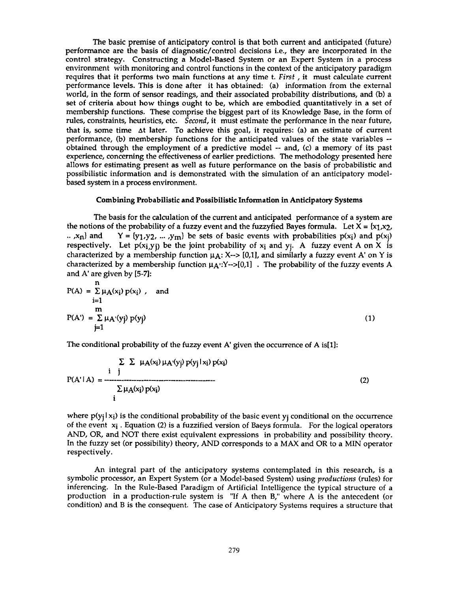The basic premise of anticipatory control is that both current and anticipated (future) performance are the basis of diagnostic/control decisions i.e., they are incorporated in the control strategy. Constructing a Model-Based System or an Expert System in a process environment with monitoring and control functions in the context of the anticipatory paradigm requires that it performs two main functions at any time t. *First,* it must calculate current performance levels. This is done after it has obtained: (a) information from the external world, in the form of sensor readings, and their associated probability distributions, and (b) a set of criteria about how things ought to be, which are embodied quantitatively in a set of membership functions. These comprise the biggest part of its Knowledge Base, in the form of rules, constraints, heuristics, etc. *Second,* it must estimate the performance in the near future, that is, some time  $\Delta t$  later. To achieve this goal, it requires: (a) an estimate of current performance, (b) membership functions for the anticipated values of the state variables - obtained through the employment of a predictive model -- and, (c) a memory of its past experience, concerning the effectiveness of earlier predictions. The methodology presented here allows for estimating present as well as future performance on the basis of probabilistic and possibilistic information and is demonstrated with the simulation of an anticipatory modelbased system in a process environment.

#### Combining Probabilistic and Possibilistic Information in Anticipatory **Systems**

The basis for the calculation of the current and anticipated performance of a system are the notions of the probability of a fuzzy event and the fuzzyfied Bayes formula. Let  $X = \{x_1, x_2, \dots, x_n\}$ .. , $x_n$  and  $Y = \{y_1, y_2, ..., y_m\}$  be sets of basic events with probabilities  $p(x_i)$  and  $p(x_i)$ respectively. Let  $p(x_i, y_i)$  be the joint probability of  $x_i$  and  $y_i$ . A fuzzy event A on X is characterized by a membership function  $\mu$ A: X--> [0,1], and similarly a fuzzy event A' on Y is characterized by a membership function  $\mu_A$ : $Y \rightarrow [0,1]$ . The probability of the fuzzy events A and A' are given by [5-7]:

$$
P(A) = \sum_{i=1}^{n} \mu_A(x_i) p(x_i)
$$
, and  
\n
$$
\begin{aligned}\n& m \\
P(A') &= \sum_{j=1}^{n} \mu_A(y_j) p(y_j)\n\end{aligned}
$$
\n(1)

The conditional probability of the fuzzy event A' given the occurrence of A is[l]:

n

$$
\Sigma \Sigma \mu_A(x_i) \mu_A'(y_j) p(y_j | x_i) p(x_i)
$$
  
\n
$$
P(A' | A) = \frac{\Sigma \mu_A(x_i) p(x_i)}{\Sigma \mu_A(x_i) p(x_i)}
$$
 (2)

where  $p(y_i|x_i)$  is the conditional probability of the basic event  $y_i$  conditional on the occurrence of the event  $x_i$ . Equation (2) is a fuzzified version of Baeys formula. For the logical operators AND, OR, and NOT there exist equivalent expressions in probability and possibility theory. In the fuzzy set (or possibility) theory, AND corresponds to a MAX and OR to a MIN operator respectively.

An integral part of the anticipatory systems contemplated in this research, is a symbolic processor, an Expert System (or a Model-based System) using *productions* (rules) for inferencing. In the Rule-Based Paradigm of Artificial Intelligence the typical structure of a production in a production-rule system is "If A then B," where A is the antecedent (or condition) and B is the consequent. The case of Anticipatory Systems requires a structure that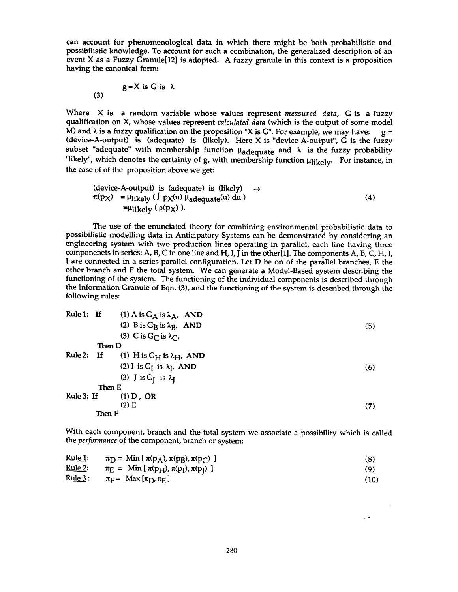can account for phenomenological data in which there might be both probabilistic and possibilistic knowledge. To account for such a combination, the generalized description of an event X as a Fuzzy Granule[12] is adopted. A fuzzy granule in this context is a proposition having the canonical form:

$$
g = X \text{ is } G \text{ is } \lambda
$$

Where X is a random variable whose values represent *measured data,* G is a fuzzy qualification on X, whose values represent *calculated data* (which is the output of some model M) and  $\lambda$  is a fuzzy qualification on the proposition "X is G". For example, we may have:  $g =$ (device-A-output) is (adequate) is (likely). Here X is "device-A-output", G is the fuzzy subset "adequate" with membership function  $\mu_{ad$ equate and  $\lambda$  is the fuzzy probability "likely", which denotes the certainty of g, with membership function  $\mu_{\text{likely}}$ . For instance, in the case of of the proposition above we get:

$$
r(p_X) = \mu_{\text{likely}} \left( \int p_X(u) \mu_{\text{adequate}}(u) \, du \right) \quad \rightarrow \quad \pi(p_X) = \mu_{\text{likely}} \left( \int p_X(u) \mu_{\text{adequate}}(u) \, du \right) \tag{4}
$$
\n= 
$$
\mu_{\text{likely}} \left( \rho(p_X) \right).
$$

The use of the enunciated theory for combining environmental probabilistic data to possibilistic modelling data in Anticipatory Systems can be demonstrated by considering an engineering system with two production lines operating in parallel, each line having three componenets in series: A, B, C in one line and H, I, J in the other[1]. The components A, B, C, H, I, J are connected in a series-parallel configuration. Let D be on of the parallel branches, E the other branch and F the total system. We can generate a Model-Based system describing the functioning of the system. The functioning of the individual components is described through the Information Granule of Eqn. (3), and the functioning of the system is described through the following rules:

Rule 1: If (1) A is G<sub>A</sub> is 
$$
\lambda_A
$$
, AND  
\n(2) B is G<sub>B</sub> is  $\lambda_B$ , AND  
\n(3) C is G<sub>C</sub> is  $\lambda_C$ ,  
\nThen D  
\nRule 2: If (1) H is G<sub>H</sub> is  $\lambda_H$ , AND  
\n(2) I is G<sub>I</sub> is  $\lambda_I$ , AND  
\n(3) J is G<sub>J</sub> is  $\lambda_J$   
\nThen E  
\nRule 3: If (1) D, OR  
\n(2) E  
\nThen F  
\n(7)

With each component, branch and the total system we associate a possibility which is called the *performance* of the component, branch or system:

| <u> Rule 1:</u> | $\pi_D$ = Min [ $\pi(p_A)$ , $\pi(p_B)$ , $\pi(p_C)$ ] |  |
|-----------------|--------------------------------------------------------|--|
| ^ י             |                                                        |  |

\n
$$
\frac{\text{Kule 2:}}{\text{rule 3:}} \quad \pi_E = \text{Min} \left[ \pi(\text{p}_H), \pi(\text{p}_I), \pi(\text{p}_J) \right]
$$
\n

\n\n
$$
\frac{\text{Kule 3:}}{\text{rule 3:}} \quad \pi_F = \text{Max} \left[ \pi_D, \pi_E \right]
$$
\n

$$
\underline{\text{Rule 3}}: \qquad \pi_{\overline{\text{F}}} = \text{Max} \left[ \pi_{\text{D}} , \pi_{\overline{\text{E}}} \right]
$$

 $\sim$   $\sim$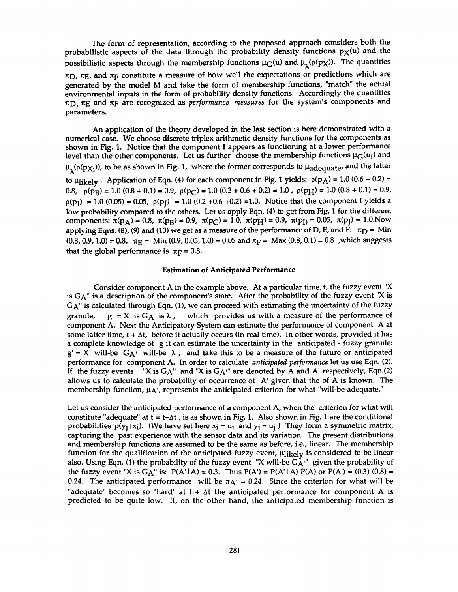The form of representation, according to the proposed approach considers both the probabilistic aspects of the data through the probability density functions  $p<sub>X</sub>(u)$  and the possibilistic aspects through the membership functions  $\mu_G(u)$  and  $\mu_1(\rho(p_X))$ . The quantities  $\pi$ D,  $\pi$ E, and  $\pi$ F constitute a measure of how well the expectations or predictions which are generated by the model M and take the form of membership functions, "match" the actual environmental inputs in the form of probability density functions. Accordingly the quantities  $\pi$ D,  $\pi$ E and  $\pi$ F are recognized as *performance measures* for the system's components and parameters.

An application of the theory developed in the last section is here demonstrated with a numerical case. We choose discrete triplex arithmetic density functions for the components as shown in Fig. 1. Notice that the component I appears as functioning at a lower performance level than the other components. Let us further choose the membership functions  $\mu$ <sub>G</sub>(u<sub>i</sub>) and  $\mu_1(\rho(p\chi_i))$ , to be as shown in Fig. 1, where the former corresponds to  $\mu_{ad$ equate, and the latter to  $\mu_{\text{likely}}$ . Application of Eqn. (4) for each component in Fig. 1 yields:  $\rho(p_A) = 1.0 (0.6 + 0.2) =$ 0.8,  $p(p_B) = 1.0 (0.8 + 0.1) = 0.9$ ,  $p(p_C) = 1.0 (0.2 + 0.6 + 0.2) = 1.0$ ,  $p(p_H) = 1.0 (0.8 + 0.1) = 0.9$ ,  $p(p_1) = 1.0 (0.05) = 0.05$ ,  $p(p_1) = 1.0 (0.2 + 0.6 + 0.2) = 1.0$ . Notice that the component I yields a low probability compared to the others. Let us apply Eqn. (4) to get from Fig. 1 for the different components:  $\pi(p_A) = 0.8$ ,  $\pi(p_B) = 0.9$ ,  $\pi(p_C) = 1.0$ ,  $\pi(p_H) = 0.9$ ,  $\pi(p_I) = 0.05$ ,  $\pi(p_I) = 1.0$ .Now applying Eqns. (8), (9) and (10) we get as a measure of the performance of D, E, and  $\hat{F}$ :  $\pi_D$  = Min  $(0.8, 0.9, 1.0) = 0.8$ ,  $\pi_E = \text{Min } (0.9, 0.05, 1.0) = 0.05$  and  $\pi_F = \text{Max } (0.8, 0.1) = 0.8$ , which suggests that the global performance is  $\pi_F = 0.8$ .

### **Estimation of Anticipated Performance**

Consider component A in the example above. At a particular time, t, the fuzzy event "X is GA" is a description of the component's state. After the probability of the fuzzy event "X is GA" is calculated through Eqn. (1), we can proceed with estimating the uncertainty of the fuzzy granule,  $g = X$  is  $G_A$  is  $\lambda$ , which provides us with a measure of the performance of component A. Next the Anticipatory System can estimate the performance of component A at some latter time,  $t + \Delta t$ , before it actually occurs (in real time). In other words, provided it has a complete knowledge of g it can estimate the uncertainty in the anticipated - fuzzy granule:  $g' = X$  will-be  $G_{A'}$  will-be  $\lambda$ , and take this to be a measure of the future or anticipated performance for component A. In order to calculate *anticipated performance* let us use Eqn. (2). If the fuzzy events "X is  $G_A$ " and "X is  $G_A$ " are denoted by A and A' respectively, Eqn.(2) allows us to calculate the probability of occurrence of A' given that the of A is known. The membership function,  $\mu$ <sup>X</sup>, represents the anticipated criterion for what "will-be-adequate."

Let us consider the anticipated performance of a component A, when the criterion for what will constitute "adequate" at  $t = t + \Delta t$ , is as shown in Fig. 1. Also shown in Fig. 1 are the conditional probabilities  $p(y_i|x_i)$ . (We have set here  $x_i = u_i$  and  $y_i = u_i$ ) They form a symmetric matrix, capturing the past experience with the sensor data and its variation. The present distributions and membership functions are assumed to be the same as before, i.e., linear. The membership function for the qualification of the anticipated fuzzy event,  $\mu_{\text{like}}$  is considered to be linear also. Using Eqn. (1) the probability of the fuzzy event "X will-be  $G_{A}^{\prime}$ " given the probability of the fuzzy event "X is  $G_A$ " is:  $P(A' | A) = 0.3$ . Thus  $P(A') = P(A' | A) P(A)$  or  $P(A') = (0.3) (0.8) =$ 0.24. The anticipated performance will be  $\pi A' = 0.24$ . Since the criterion for what will be "adequate" becomes so "hard" at  $t + \Delta t$  the anticipated performance for component A is predicted to be quite low. If, on the other hand, the anticipated membership function is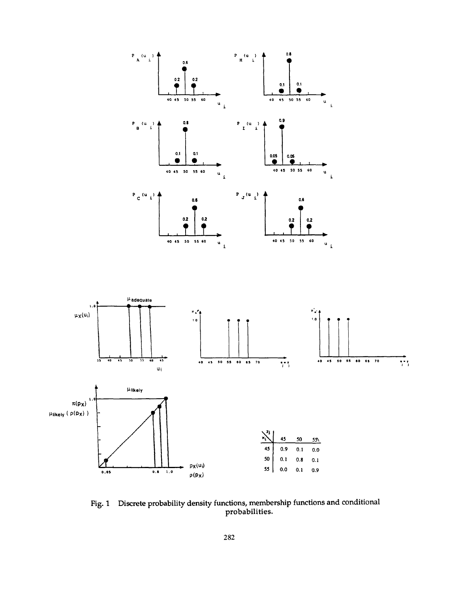

Fig. 1 Discrete probability density functions, membership functions and conditional probabilities.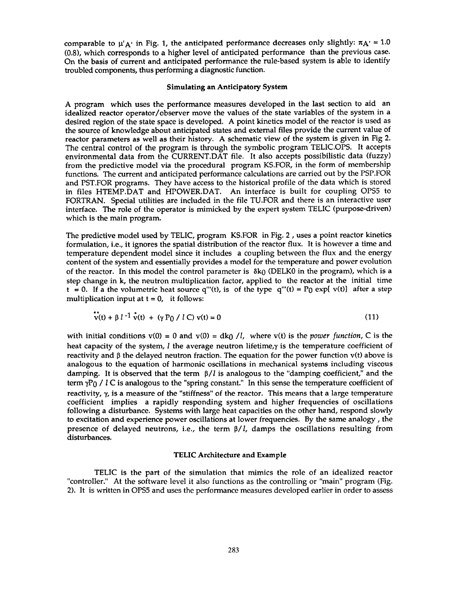comparable to  $\mu'$  a' in Fig. 1, the anticipated performance decreases only slightly:  $\pi A' = 1.0$ (0.8), which corresponds to a higher level of anticipated performance than the previous case. On the basis of current and anticipated performance the rule-based system is able to identify troubled components, thus performing a diagnostic function.

### **Simulating an Anticipatory System**

A program which uses the performance measures developed in the last section to aid an idealized reactor operator/observer move the values of the state variables of the system in a desired region of the state space is developed. A point kinetics model of the reactor is used as the source of knowledge about anticipated states and external files provide the current value of reactor parameters as well as their history. A schematic view of the system is given in Fig 2. The central control of the program is through the symbolic program TELIC.OPS. It accepts environmental data from the CURRENT.DAT file. It also accepts possibilistic data (fuzzy) from the predictive model via the procedural program KS.FOR, in the form of membership functions. The current and anticipated performance calculations are carried out by the PSP.FOR and PST.FOR programs. They have access to the historical profile of the data which is stored in files HTEMP.DAT and HPOWER.DAT. An interface is built for coupling OPS5 to FORTRAN. Special utilities are included in the file TU.FOR and there is an interactive user interface. The role of the operator is mimicked by the expert system TELIC (purpose-driven) which is the main program.

The predictive model used by TELIC, program KS.FOR in Fig. 2, uses a point reactor kinetics formulation, i.e., it ignores the spatial distribution of the reactor flux. It is however a time and temperature dependent model since it includes a coupling between the flux and the energy content of the system and essentially provides a model for the temperature and power evolution of the reactor. In this model the control parameter is  $\delta k_0$  (DELK0 in the program), which is a step change in k, the neutron multiplication factor, applied to the reactor at the initial time  $t = 0$ . If a the volumetric heat source q'''(t), is of the type q'''(t) = P<sub>0</sub> exp[ v(t)] after a step multiplication input at  $t = 0$ , it follows:

 $\ddot{\phantom{a}}$ 

$$
v(t) + \beta l^{-1} v(t) + (\gamma P_0 / l C) v(t) = 0
$$
\n(11)

with initial conditions  $v(0) = 0$  and  $v(0) = dk_0 / l$ , where  $v(t)$  is the *power function*, C is the heat capacity of the system, *l* the average neutron lifetime, $\gamma$  is the temperature coefficient of reactivity and  $\beta$  the delayed neutron fraction. The equation for the power function  $v(t)$  above is analogous to the equation of harmonic oscillations in mechanical systems including viscous damping. It is observed that the term  $\beta/l$  is analogous to the "damping coefficient," and the term  $\gamma P_0$  / *l* C is analogous to the "spring constant." In this sense the temperature coefficient of reactivity,  $\gamma$ , is a measure of the "stiffness" of the reactor. This means that a large temperature coefficient implies a rapidly responding system and higher frequencies of oscillations following a disturbance. Systems with large heat capacities on the other hand, respond slowly to excitation and experience power oscillations at lower frequencies. By the same analogy, the presence of delayed neutrons, i.e., the term  $\beta/l$ , damps the oscillations resulting from disturbances.

#### **TELIC Architecture and** Example

TELIC is the part of the simulation that mimics the role of an idealized reactor "controller." At the software level it also functions as the controlling or "main" program (Fig. 2). It is written in OPS5 and uses the performance measures developed earlier in order to assess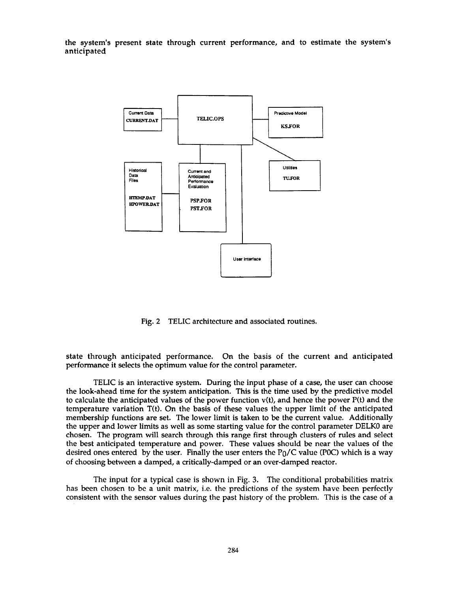**the system's present state through current performance, and to estimate the system's anticipated** 



Fig. 2 TELIC architecture and associated routines.

state through anticipated performance. On the basis of the current and anticipated performance it selects the optimum value for the control parameter.

TELIC is an interactive system. During the input phase of a case, the user can choose the look-ahead time for the system anticipation. This is the time used by the predictive model to calculate the anticipated values of the power function  $v(t)$ , and hence the power  $P(t)$  and the temperature variation T(t). On the basis of these values the upper limit of the anticipated membership functions are set. The lower limit is taken to be the current value. Additionally the upper and lower limits as well as some starting value for the control parameter DELK0 are chosen. The program will search through this range first through clusters of rules and select the best anticipated temperature and power. These values should be near the values of the desired ones entered by the user. Finally the user enters the  $P_0/C$  value (P0C) which is a way of choosing between a damped, a critically-damped or an over-damped reactor.

The input for a typical case is shown in Fig. 3. The conditional probabilities matrix has been chosen to be a unit matrix, i.e. the predictions of the system have been perfectly consistent with the sensor values during the past history of the problem. This is the case of a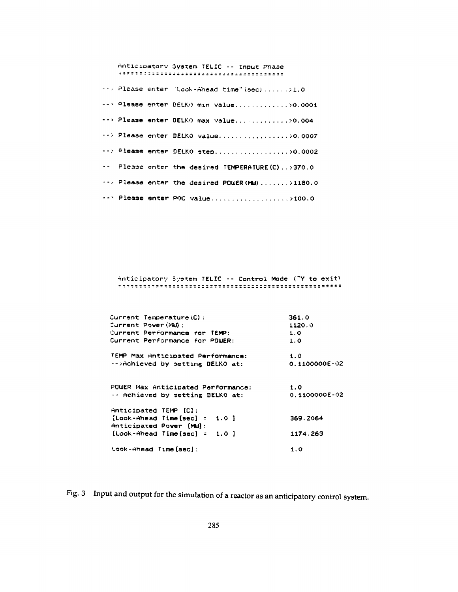Anticipatory System TELIC -- Input Phase --> Please enter 'Look-Ahead time" (sec) ......>1.0 --> Please enter DELKO min value...............>0.0001 --> Please enter DELKO max value.............>0.004 --> Please enter DELKO value.................>0.0007 --> Please enter DELKO step...................>0.0002 -- Please enter the desired TEMPERATURE(C)..>370.0 -- / Please enter the desired POWER (MW)........>1180.0 -- > Please enter POC value......................>100.0

Anticipatory System TELIC -- Control Mode ("Y to exit) 

| Current Temperature(C):            | 361.0             |
|------------------------------------|-------------------|
| Current Power (MW):                | 1120.0            |
| Current Performance for TEMP:      | 1.0               |
| Current Performance for POWER:     | 1.0               |
| TEMP Max Anticipated Performance:  | 1.0               |
| -->Achieved by setting DELKO at:   | $0.1100000E - 02$ |
| POWER Max Anticipated Performance: | 1.0               |
| -- Achieved by setting DELKO at:   | $0.1100000E - 02$ |
| $Anticipated$ TEMP $[C]$ :         |                   |
| ${[Look-Ahead Time[sec]} = 1.0]$   | 369.2064          |
| Anticipated Power [MW]:            |                   |
| $[Look-Ahead Time [sec] = 1.0]$    | 1174.263          |
| Look-Ahead Time(secl:              | 1.0               |

Fig. 3 Input and output for the simulation of a reactor as an anticipatory control system.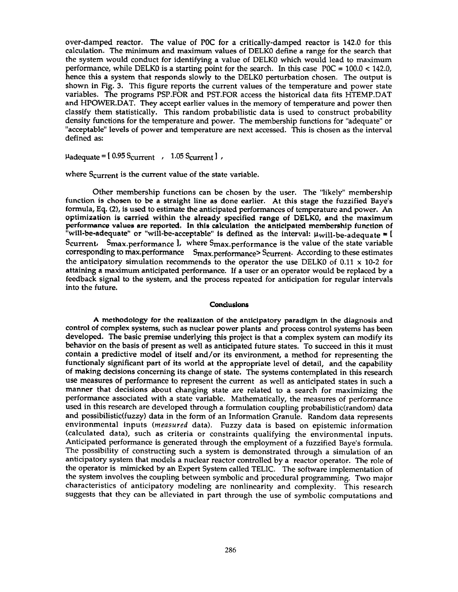over-damped reactor. The value of P0C for a critically-damped reactor is 142.0 for this calculation. The minimum and maximum values of DELK0 define a range for the search that the system would conduct for identifying a value of DELK0 which would lead to maximum performance, while DELK0 is a starting point for the search. In this case  $POC = 100.0 < 142.0$ , hence this a system that responds slowly to the DELK0 perturbation chosen. The output is shown in Fig. 3. This figure reports the current values of the temperature and power state variables. The programs PSP.FOR and PST.FOR access the historical data fits HTEMP.DAT and HPOWER.DAT. They accept earlier values in the memory of temperature and power then classify them statistically. This random probabilistic data is used to construct probability density functions for the temperature and power. The membership functions for "adequate" or "acceptable" levels of power and temperature are next accessed. This is chosen as the interval defined as:

 $\mu$ adequate =  $[0.95$  Scurrent , 1.05 Scurrent  $]$ ,

where Scurrent is the current value of the state variable.

Other membership functions can be chosen by the user. The "likely" membership function is chosen to be a straight line as done earlier. At this stage the fuzzified Baye's formula, Eq. (2), is used to estimate the anticipated performances of temperature and power. An **optimization is carried** within the **already specified ranse of** DELK0, and **the maximum performance values are reported, In this calculation the anticipated membership function of**  "will-be-adequate" or "will-be-acceptable" is defined as the interval:  $\mu_{\rm will}$ -be-adequate  $=$  [ Scurrent, Smax.performance l, where Smax.performance is the value of the state variable corresponding to max.performance Smax.performance> Scurrent. According to these estimates the anticipatory simulation recommends to the operator the use DELK0 of 0.11  $\times$  10-2 for attaining a maximum anticipated performance. If a user or an operator would be replaced by a feedback signal to the system, and the process repeated for anticipation for regular intervals into the future.

#### **Conclusions**

A **methodology for the realization of the anticipatory paradigm** in the diagnosis and **control of complex** systems, such as nuclear power plants and process control systems has been developed. The basic premise underlying this project is that a complex system can modify its behavior on the basis of present as well as anticipated future states. To succeed in this it must contain a predictive model of itself and/or its environment, a method for representing the functionaly significant part of its world at the appropriate level of detail, and the capability of making decisions concerning its change of state. The systems contemplated in this research use measures of performance to represent the current as well as anticipated states in such a manner that decisions about changing state are related to a search for maximizing the performance associated with a state variable. Mathematically, the measures of performance used in this research are developed through a formulation coupling probabilistic(random) data and possibilistic(fuzzy) data in the form of an Information Granule. Random data represents environmental inputs *(measured* data). Fuzzy data is based on epistemic information (calculated data), such as criteria or constraints qualifying the environmental inputs. Anticipated performance is generated through the employment of a fuzzified Baye's formula. The possibility of constructing such a system is demonstrated through a simulation of an anticipatory system that models a nuclear reactor controlled by a reactor operator. The role of the operator is mimicked by an Expert System called TELIC. The software implementation of the system involves the coupling between symbolic and procedural programming. Two major characteristics of anticipatory modeling are nonlinearity and complexity. This research suggests that they can be alleviated in part through the use of symbolic computations and